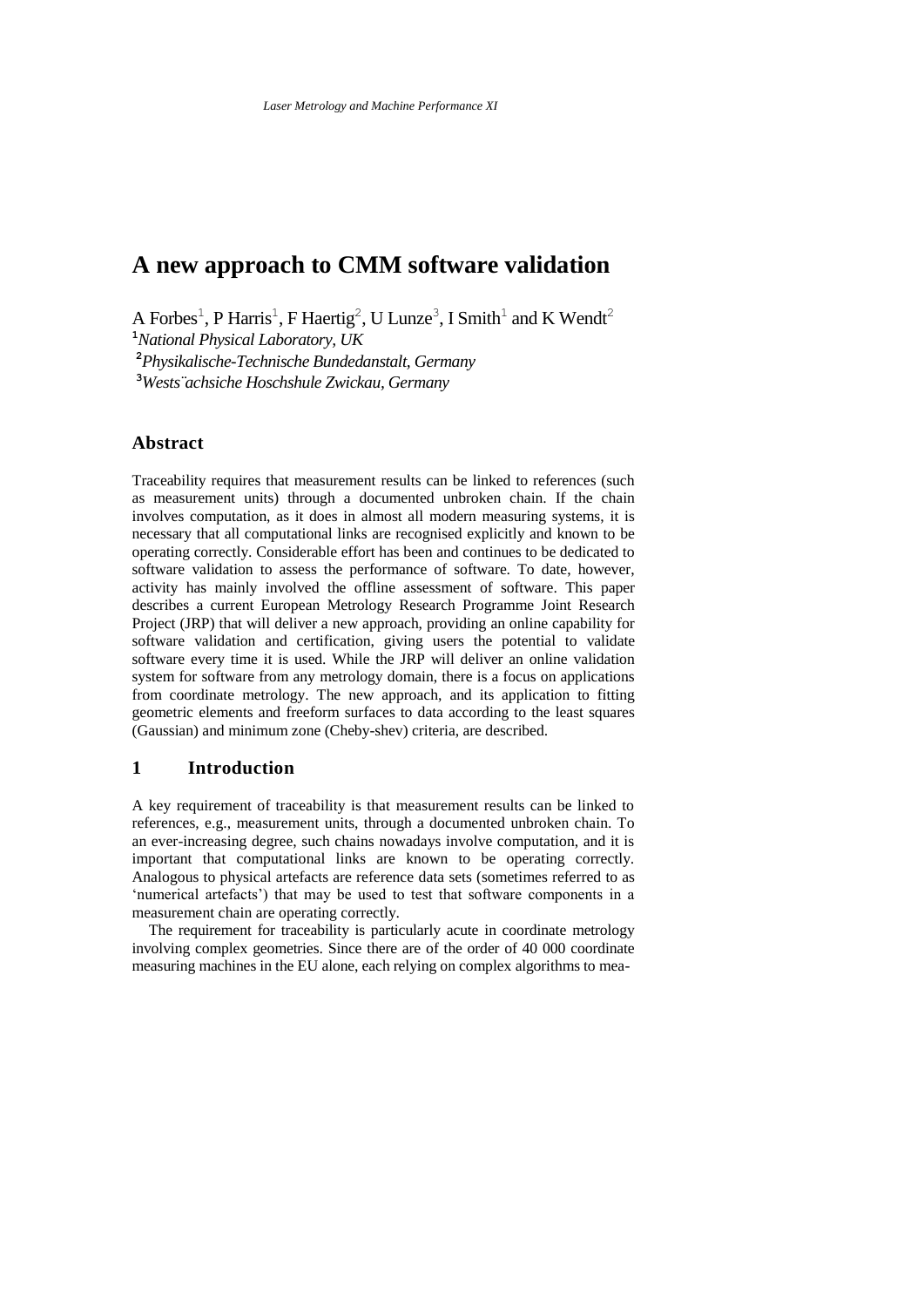# **A new approach to CMM software validation**

A Forbes<sup>1</sup>, P Harris<sup>1</sup>, F Haertig<sup>2</sup>, U Lunze<sup>3</sup>, I Smith<sup>1</sup> and K Wendt<sup>2</sup>

**<sup>1</sup>***National Physical Laboratory, UK*

**<sup>2</sup>***Physikalische-Technische Bundedanstalt, Germany*

**<sup>3</sup>***Wests¨achsiche Hoschshule Zwickau, Germany*

# **Abstract**

Traceability requires that measurement results can be linked to references (such as measurement units) through a documented unbroken chain. If the chain involves computation, as it does in almost all modern measuring systems, it is necessary that all computational links are recognised explicitly and known to be operating correctly. Considerable effort has been and continues to be dedicated to software validation to assess the performance of software. To date, however, activity has mainly involved the offline assessment of software. This paper describes a current European Metrology Research Programme Joint Research Project (JRP) that will deliver a new approach, providing an online capability for software validation and certification, giving users the potential to validate software every time it is used. While the JRP will deliver an online validation system for software from any metrology domain, there is a focus on applications from coordinate metrology. The new approach, and its application to fitting geometric elements and freeform surfaces to data according to the least squares (Gaussian) and minimum zone (Cheby-shev) criteria, are described.

# **1 Introduction**

A key requirement of traceability is that measurement results can be linked to references, e.g., measurement units, through a documented unbroken chain. To an ever-increasing degree, such chains nowadays involve computation, and it is important that computational links are known to be operating correctly. Analogous to physical artefacts are reference data sets (sometimes referred to as 'numerical artefacts') that may be used to test that software components in a measurement chain are operating correctly.

The requirement for traceability is particularly acute in coordinate metrology involving complex geometries. Since there are of the order of 40 000 coordinate measuring machines in the EU alone, each relying on complex algorithms to mea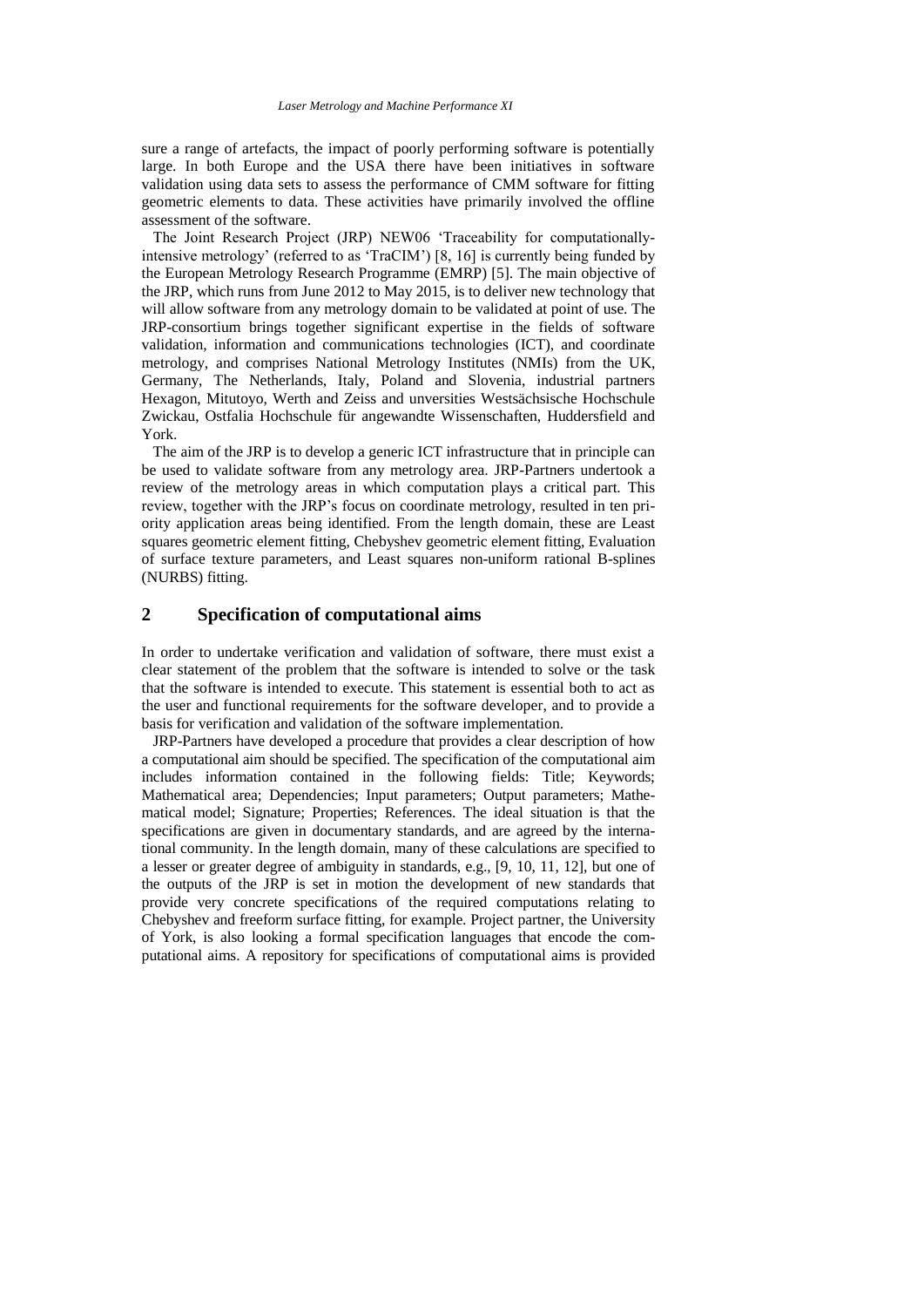sure a range of artefacts, the impact of poorly performing software is potentially large. In both Europe and the USA there have been initiatives in software validation using data sets to assess the performance of CMM software for fitting geometric elements to data. These activities have primarily involved the offline assessment of the software.

The Joint Research Project (JRP) NEW06 'Traceability for computationallyintensive metrology' (referred to as 'TraCIM') [8, 16] is currently being funded by the European Metrology Research Programme (EMRP) [5]. The main objective of the JRP, which runs from June 2012 to May 2015, is to deliver new technology that will allow software from any metrology domain to be validated at point of use. The JRP-consortium brings together significant expertise in the fields of software validation, information and communications technologies (ICT), and coordinate metrology, and comprises National Metrology Institutes (NMIs) from the UK, Germany, The Netherlands, Italy, Poland and Slovenia, industrial partners Hexagon, Mitutoyo, Werth and Zeiss and unversities Westsächsische Hochschule Zwickau, Ostfalia Hochschule für angewandte Wissenschaften, Huddersfield and York.

The aim of the JRP is to develop a generic ICT infrastructure that in principle can be used to validate software from any metrology area. JRP-Partners undertook a review of the metrology areas in which computation plays a critical part. This review, together with the JRP's focus on coordinate metrology, resulted in ten priority application areas being identified. From the length domain, these are Least squares geometric element fitting, Chebyshev geometric element fitting, Evaluation of surface texture parameters, and Least squares non-uniform rational B-splines (NURBS) fitting.

#### **2 Specification of computational aims**

In order to undertake verification and validation of software, there must exist a clear statement of the problem that the software is intended to solve or the task that the software is intended to execute. This statement is essential both to act as the user and functional requirements for the software developer, and to provide a basis for verification and validation of the software implementation.

JRP-Partners have developed a procedure that provides a clear description of how a computational aim should be specified. The specification of the computational aim includes information contained in the following fields: Title; Keywords; Mathematical area; Dependencies; Input parameters; Output parameters; Mathematical model; Signature; Properties; References. The ideal situation is that the specifications are given in documentary standards, and are agreed by the international community. In the length domain, many of these calculations are specified to a lesser or greater degree of ambiguity in standards, e.g., [9, 10, 11, 12], but one of the outputs of the JRP is set in motion the development of new standards that provide very concrete specifications of the required computations relating to Chebyshev and freeform surface fitting, for example. Project partner, the University of York, is also looking a formal specification languages that encode the computational aims. A repository for specifications of computational aims is provided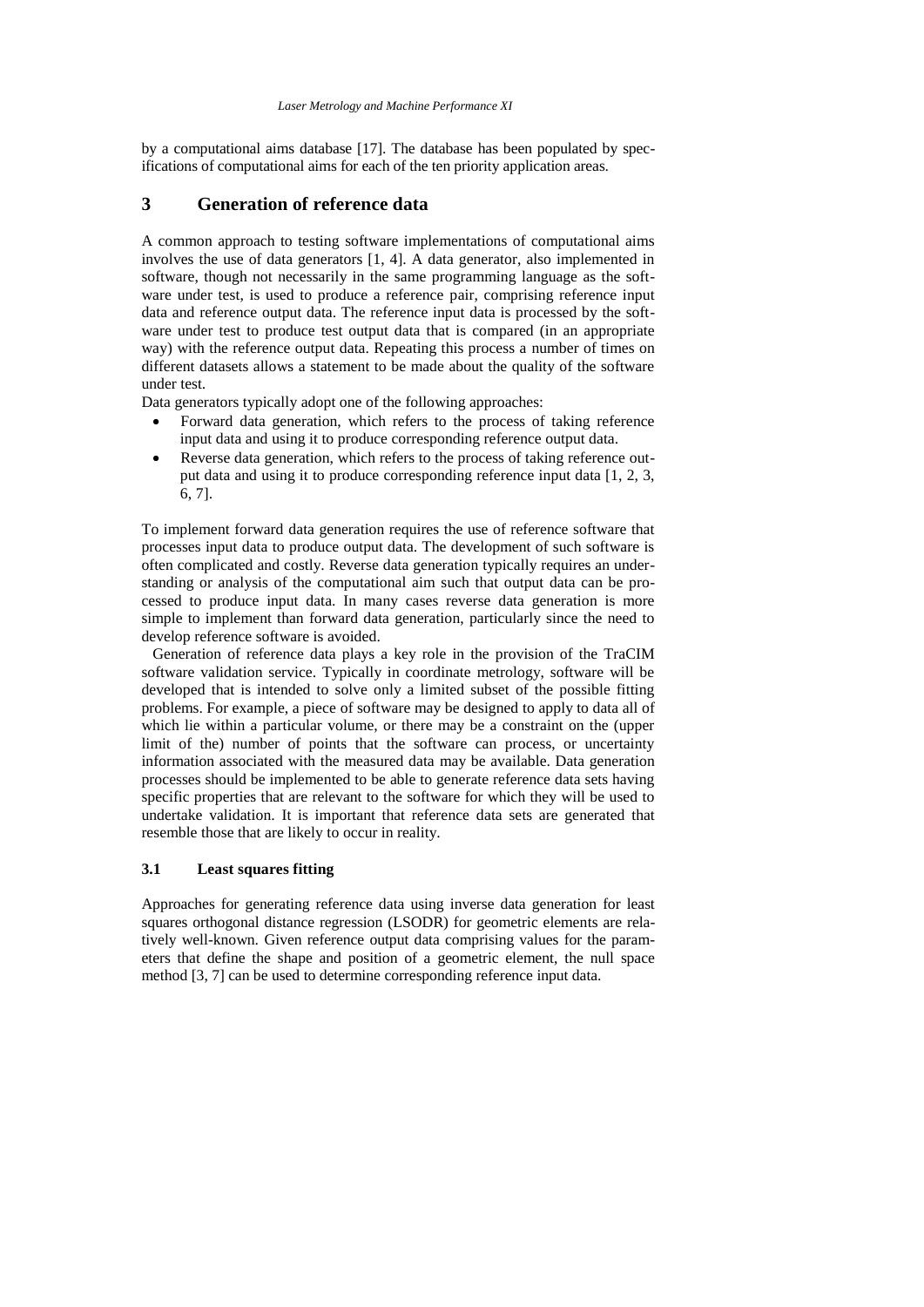by a computational aims database [17]. The database has been populated by specifications of computational aims for each of the ten priority application areas.

# **3 Generation of reference data**

A common approach to testing software implementations of computational aims involves the use of data generators [1, 4]. A data generator, also implemented in software, though not necessarily in the same programming language as the software under test, is used to produce a reference pair, comprising reference input data and reference output data. The reference input data is processed by the software under test to produce test output data that is compared (in an appropriate way) with the reference output data. Repeating this process a number of times on different datasets allows a statement to be made about the quality of the software under test.

Data generators typically adopt one of the following approaches:

- Forward data generation, which refers to the process of taking reference input data and using it to produce corresponding reference output data.
- Reverse data generation, which refers to the process of taking reference output data and using it to produce corresponding reference input data [1, 2, 3, 6, 7].

To implement forward data generation requires the use of reference software that processes input data to produce output data. The development of such software is often complicated and costly. Reverse data generation typically requires an understanding or analysis of the computational aim such that output data can be processed to produce input data. In many cases reverse data generation is more simple to implement than forward data generation, particularly since the need to develop reference software is avoided.

Generation of reference data plays a key role in the provision of the TraCIM software validation service. Typically in coordinate metrology, software will be developed that is intended to solve only a limited subset of the possible fitting problems. For example, a piece of software may be designed to apply to data all of which lie within a particular volume, or there may be a constraint on the (upper limit of the) number of points that the software can process, or uncertainty information associated with the measured data may be available. Data generation processes should be implemented to be able to generate reference data sets having specific properties that are relevant to the software for which they will be used to undertake validation. It is important that reference data sets are generated that resemble those that are likely to occur in reality.

### **3.1 Least squares fitting**

Approaches for generating reference data using inverse data generation for least squares orthogonal distance regression (LSODR) for geometric elements are relatively well-known. Given reference output data comprising values for the parameters that define the shape and position of a geometric element, the null space method [3, 7] can be used to determine corresponding reference input data.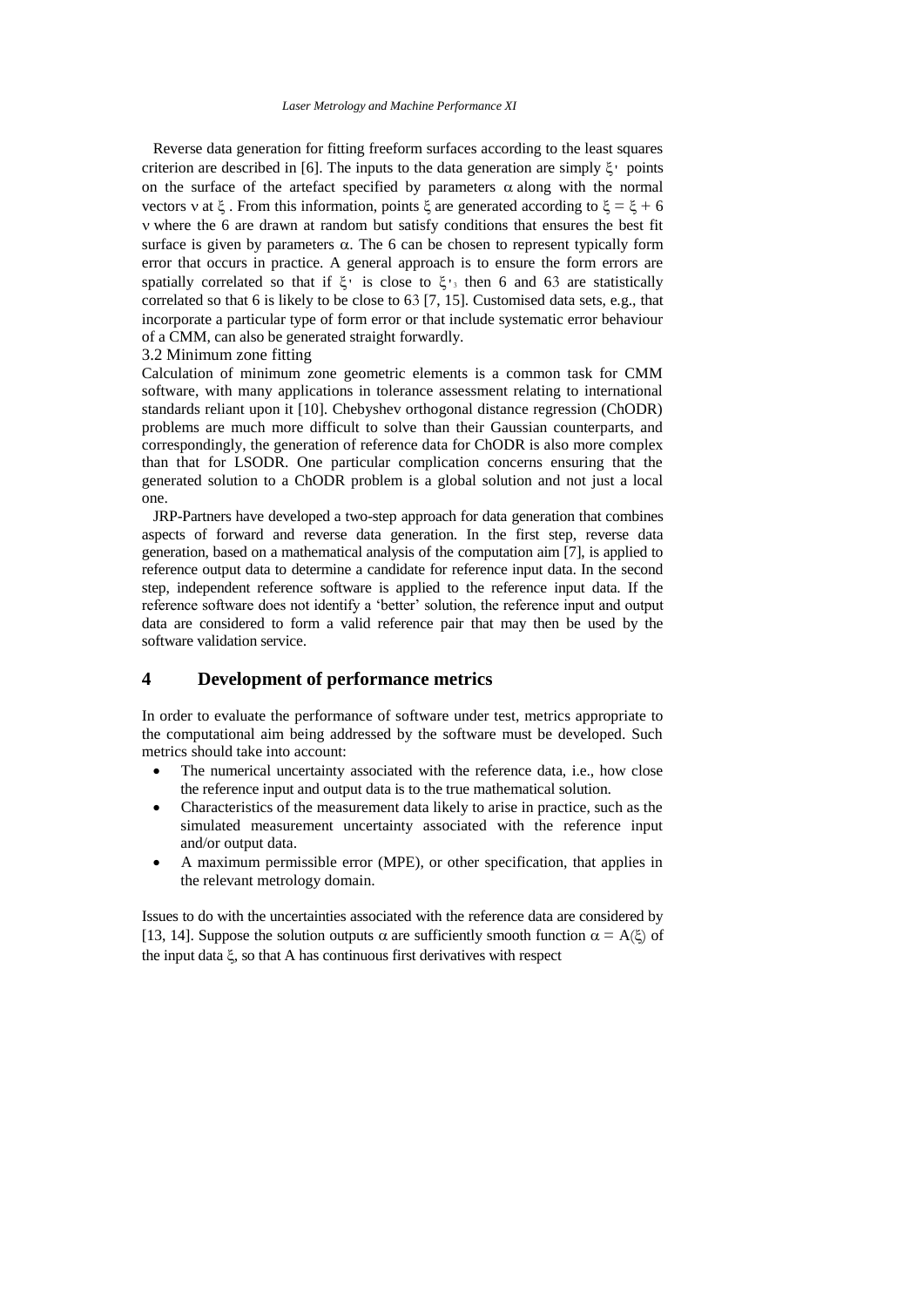Reverse data generation for fitting freeform surfaces according to the least squares criterion are described in [6]. The inputs to the data generation are simply  $\xi$ <sup>1</sup> points on the surface of the artefact specified by parameters  $\alpha$  along with the normal vectors v at  $\xi$ . From this information, points  $\xi$  are generated according to  $\xi = \xi + 6$ where the 6 are drawn at random but satisfy conditions that ensures the best fit surface is given by parameters  $\alpha$ . The 6 can be chosen to represent typically form error that occurs in practice. A general approach is to ensure the form errors are spatially correlated so that if  $\xi$ <sup>'</sup> is close to  $\xi$ <sup>'</sup><sub>3</sub> then 6 and 63 are statistically correlated so that 6 is likely to be close to 63 [7, 15]. Customised data sets, e.g., that incorporate a particular type of form error or that include systematic error behaviour of a CMM, can also be generated straight forwardly.

3.2 Minimum zone fitting

Calculation of minimum zone geometric elements is a common task for CMM software, with many applications in tolerance assessment relating to international standards reliant upon it [10]. Chebyshev orthogonal distance regression (ChODR) problems are much more difficult to solve than their Gaussian counterparts, and correspondingly, the generation of reference data for ChODR is also more complex than that for LSODR. One particular complication concerns ensuring that the generated solution to a ChODR problem is a global solution and not just a local one.

JRP-Partners have developed a two-step approach for data generation that combines aspects of forward and reverse data generation. In the first step, reverse data generation, based on a mathematical analysis of the computation aim [7], is applied to reference output data to determine a candidate for reference input data. In the second step, independent reference software is applied to the reference input data. If the reference software does not identify a 'better' solution, the reference input and output data are considered to form a valid reference pair that may then be used by the software validation service.

# **4 Development of performance metrics**

In order to evaluate the performance of software under test, metrics appropriate to the computational aim being addressed by the software must be developed. Such metrics should take into account:

- The numerical uncertainty associated with the reference data, i.e., how close the reference input and output data is to the true mathematical solution.
- Characteristics of the measurement data likely to arise in practice, such as the simulated measurement uncertainty associated with the reference input and/or output data.
- A maximum permissible error (MPE), or other specification, that applies in the relevant metrology domain.

Issues to do with the uncertainties associated with the reference data are considered by [13, 14]. Suppose the solution outputs  $\alpha$  are sufficiently smooth function  $\alpha = A(\xi)$  of the input data  $\xi$ , so that A has continuous first derivatives with respect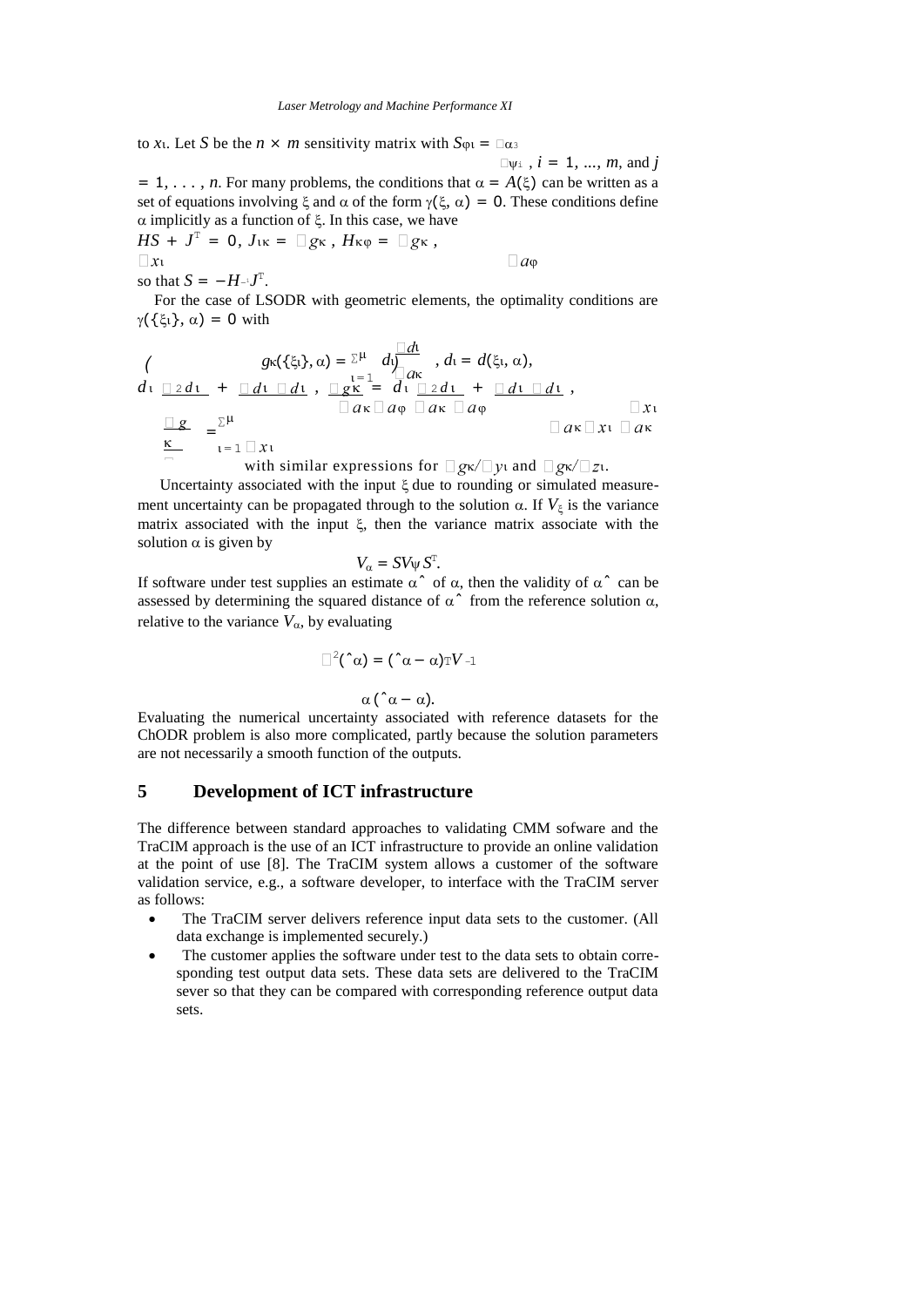to *x*<sub>1</sub>. Let *S* be the *n*  $\times$  *m* sensitivity matrix with  $S_{\varphi_1} = \Box \alpha_3$ 

 $\Box \psi$  *i*, *i* = 1, ..., *m*, and *j*  $= 1, \ldots, n$ . For many problems, the conditions that  $\alpha = A(\xi)$  can be written as a set of equations involving  $\xi$  and  $\alpha$  of the form  $\gamma(\xi, \alpha) = 0$ . These conditions define  $\alpha$  implicitly as a function of  $\xi$ . In this case, we have  $HS + J^T = 0$ ,  $J_{1K} = \Box g_K$ ,  $H_{K\varphi} = \Box g_K$ ,

 $a_{\varphi}$ so that  $S = -H^{-1}J^T$ .

For the case of LSODR with geometric elements, the optimality conditions are  $\gamma(\{\xi_1\}, \alpha) = 0$  with

$$
\begin{array}{l}\n\left(\n\begin{array}{c}\ng_{\kappa}(\{\xi_l\},\alpha)=\sum^{\mu}d\big)_{\substack{\alpha\\ \alpha\\ \alpha}}\n\end{array}, d_1=d(\xi_l,\alpha), \\
d_1 \underline{\square} 2d_1 + \underline{\square} d_1 \underline{\square} d_1, \underline{\square} 2d_1, \underline{\square} 2d_1 + \underline{\square} d_1 \underline{\square} d_1, \\
\overline{\square} 2d_1 \underline{\square} 2d_1 + \underline{\square} d_1 \underline{\square} d_1, \\
\overline{\square} 2d_1 \underline{\square} 2d_1, \underline{\square} 2d_1\n\end{array}\n\end{array}
$$

with similar expressions for 
$$
\Box g_{\kappa}/\Box y_1
$$
 and  $\Box g_{\kappa}/\Box z_1$ .

Uncertainty associated with the input  $\xi$  due to rounding or simulated measurement uncertainty can be propagated through to the solution  $\alpha$ . If  $V_{\xi}$  is the variance matrix associated with the input  $\xi$ , then the variance matrix associate with the solution  $\alpha$  is given by

$$
V_{\alpha}=SV_{\psi}S^{\mathrm{T}}.
$$

If software under test supplies an estimate  $\alpha^{\hat{}}$  of  $\alpha$ , then the validity of  $\alpha^{\hat{}}$  can be assessed by determining the squared distance of  $\alpha^*$  from the reference solution  $\alpha$ , relative to the variance  $V_{\alpha}$ , by evaluating

$$
\Box^2(\hat{\alpha})=(\hat{\alpha}-\alpha)\mathrm{T}V_{-1}
$$

 $\alpha$  ( $\alpha - \alpha$ ).

Evaluating the numerical uncertainty associated with reference datasets for the ChODR problem is also more complicated, partly because the solution parameters are not necessarily a smooth function of the outputs.

### **5 Development of ICT infrastructure**

The difference between standard approaches to validating CMM sofware and the TraCIM approach is the use of an ICT infrastructure to provide an online validation at the point of use [8]. The TraCIM system allows a customer of the software validation service, e.g., a software developer, to interface with the TraCIM server as follows:

- The TraCIM server delivers reference input data sets to the customer. (All data exchange is implemented securely.)
- The customer applies the software under test to the data sets to obtain corresponding test output data sets. These data sets are delivered to the TraCIM sever so that they can be compared with corresponding reference output data sets.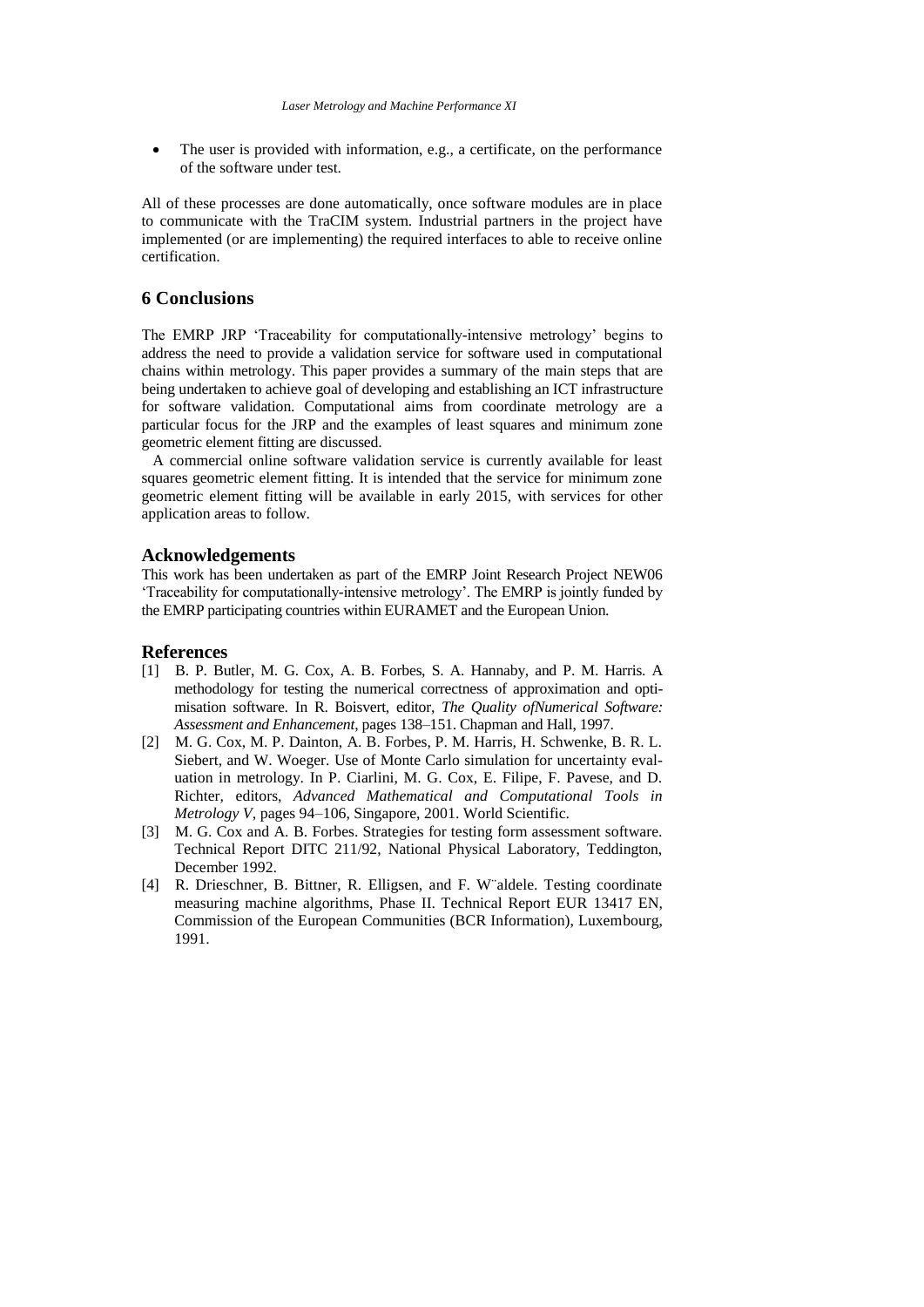The user is provided with information, e.g., a certificate, on the performance of the software under test.

All of these processes are done automatically, once software modules are in place to communicate with the TraCIM system. Industrial partners in the project have implemented (or are implementing) the required interfaces to able to receive online certification.

### **6 Conclusions**

The EMRP JRP 'Traceability for computationally-intensive metrology' begins to address the need to provide a validation service for software used in computational chains within metrology. This paper provides a summary of the main steps that are being undertaken to achieve goal of developing and establishing an ICT infrastructure for software validation. Computational aims from coordinate metrology are a particular focus for the JRP and the examples of least squares and minimum zone geometric element fitting are discussed.

A commercial online software validation service is currently available for least squares geometric element fitting. It is intended that the service for minimum zone geometric element fitting will be available in early 2015, with services for other application areas to follow.

#### **Acknowledgements**

This work has been undertaken as part of the EMRP Joint Research Project NEW06 'Traceability for computationally-intensive metrology'. The EMRP is jointly funded by the EMRP participating countries within EURAMET and the European Union.

#### **References**

- [1] B. P. Butler, M. G. Cox, A. B. Forbes, S. A. Hannaby, and P. M. Harris. A methodology for testing the numerical correctness of approximation and optimisation software. In R. Boisvert, editor, *The Quality ofNumerical Software: Assessment and Enhancement*, pages 138–151. Chapman and Hall, 1997.
- [2] M. G. Cox, M. P. Dainton, A. B. Forbes, P. M. Harris, H. Schwenke, B. R. L. Siebert, and W. Woeger. Use of Monte Carlo simulation for uncertainty evaluation in metrology. In P. Ciarlini, M. G. Cox, E. Filipe, F. Pavese, and D. Richter, editors, *Advanced Mathematical and Computational Tools in Metrology V*, pages 94–106, Singapore, 2001. World Scientific.
- [3] M. G. Cox and A. B. Forbes. Strategies for testing form assessment software. Technical Report DITC 211/92, National Physical Laboratory, Teddington, December 1992.
- [4] R. Drieschner, B. Bittner, R. Elligsen, and F. W¨aldele. Testing coordinate measuring machine algorithms, Phase II. Technical Report EUR 13417 EN, Commission of the European Communities (BCR Information), Luxembourg, 1991.